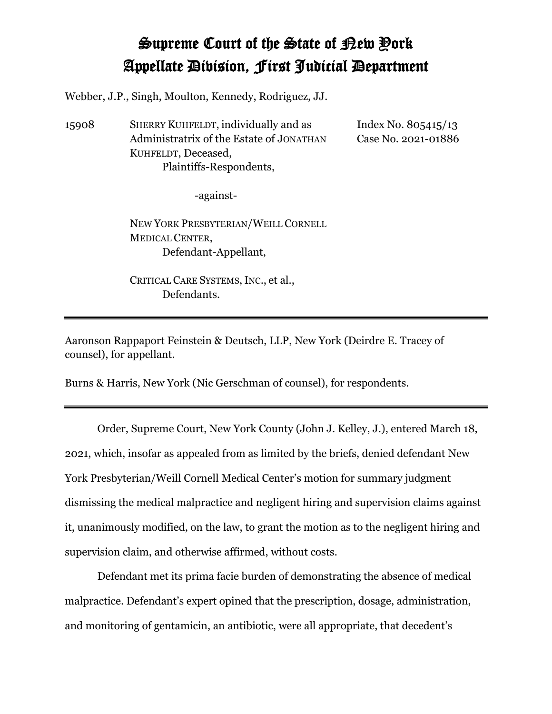## Supreme Court of the State of New York Appellate Division, First Judicial Department

Webber, J.P., Singh, Moulton, Kennedy, Rodriguez, JJ.

15908 SHERRY KUHFELDT, individually and as Administratrix of the Estate of JONATHAN KUHFELDT, Deceased, Plaintiffs-Respondents,

Index No. 805415/13 Case No. 2021-01886

-against-

NEW YORK PRESBYTERIAN/WEILL CORNELL MEDICAL CENTER, Defendant-Appellant,

CRITICAL CARE SYSTEMS, INC., et al., Defendants.

Aaronson Rappaport Feinstein & Deutsch, LLP, New York (Deirdre E. Tracey of counsel), for appellant.

Burns & Harris, New York (Nic Gerschman of counsel), for respondents.

Order, Supreme Court, New York County (John J. Kelley, J.), entered March 18, 2021, which, insofar as appealed from as limited by the briefs, denied defendant New York Presbyterian/Weill Cornell Medical Center's motion for summary judgment dismissing the medical malpractice and negligent hiring and supervision claims against it, unanimously modified, on the law, to grant the motion as to the negligent hiring and supervision claim, and otherwise affirmed, without costs.

Defendant met its prima facie burden of demonstrating the absence of medical malpractice. Defendant's expert opined that the prescription, dosage, administration, and monitoring of gentamicin, an antibiotic, were all appropriate, that decedent's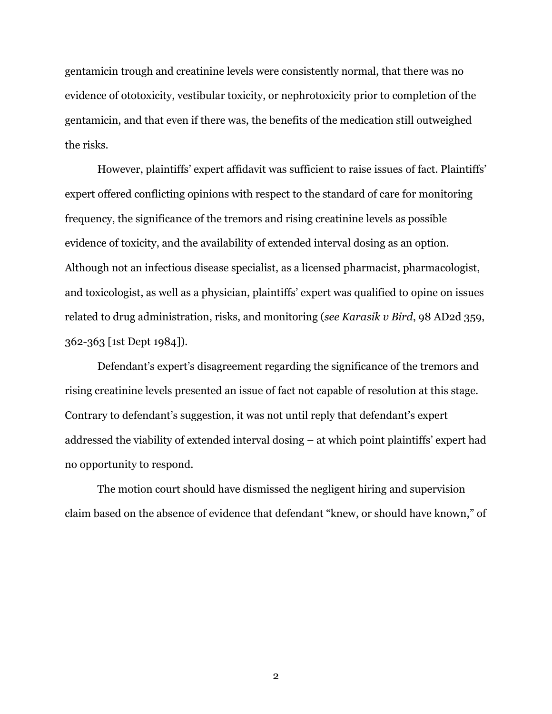gentamicin trough and creatinine levels were consistently normal, that there was no evidence of ototoxicity, vestibular toxicity, or nephrotoxicity prior to completion of the gentamicin, and that even if there was, the benefits of the medication still outweighed the risks.

However, plaintiffs' expert affidavit was sufficient to raise issues of fact. Plaintiffs' expert offered conflicting opinions with respect to the standard of care for monitoring frequency, the significance of the tremors and rising creatinine levels as possible evidence of toxicity, and the availability of extended interval dosing as an option. Although not an infectious disease specialist, as a licensed pharmacist, pharmacologist, and toxicologist, as well as a physician, plaintiffs' expert was qualified to opine on issues related to drug administration, risks, and monitoring (*see Karasik v Bird*, 98 AD2d 359, 362-363 [1st Dept 1984]).

Defendant's expert's disagreement regarding the significance of the tremors and rising creatinine levels presented an issue of fact not capable of resolution at this stage. Contrary to defendant's suggestion, it was not until reply that defendant's expert addressed the viability of extended interval dosing – at which point plaintiffs' expert had no opportunity to respond.

The motion court should have dismissed the negligent hiring and supervision claim based on the absence of evidence that defendant "knew, or should have known," of

2